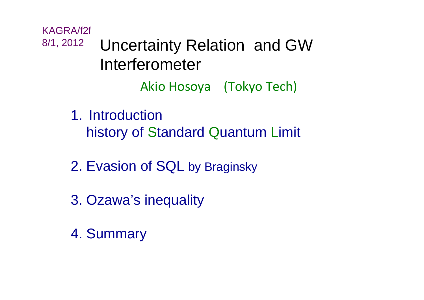Akio Hosoya (Tokyo Tech) KAGRA/f2f 8/1, 2012 Uncertainty Relation and GW Interferometer

> 1. Introductionhistory of Standard Quantum Limit

- 2. Evasion of SQL by Braginsky
- 3. Ozawa's inequality
- 4. Summary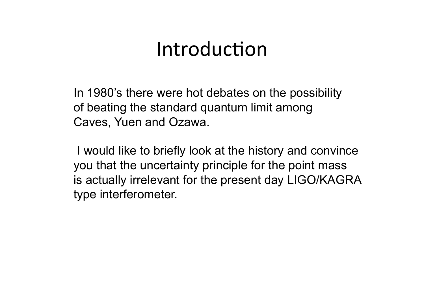### Introduction

In 1980's there were hot debates on the possibility of beating the standard quantum limit among Caves, Yuen and Ozawa.

 I would like to briefly look at the history and convince you that the uncertainty principle for the point mass is actually irrelevant for the present day LIGO/KAGRA type interferometer.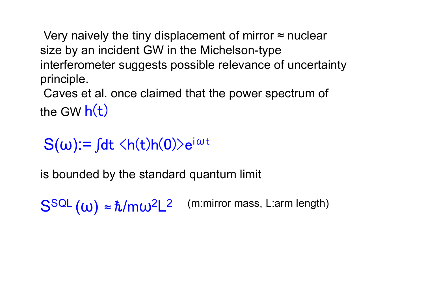Very naively the tiny displacement of mirror  $\approx$  nuclear size by an incident GW in the Michelson-type interferometer suggests possible relevance of uncertainty principle.

 Caves et al. once claimed that the power spectrum of the GW  $h(t)$ 

 $S(\omega)$ :=  $\int dt \langle h(t)h(0)\rangle e^{i\omega t}$ 

is bounded by the standard quantum limit

 $S<sup>SQL</sup>(\omega) \approx \hbar/m\omega^2L^2$  (m:mirror mass, L:arm length)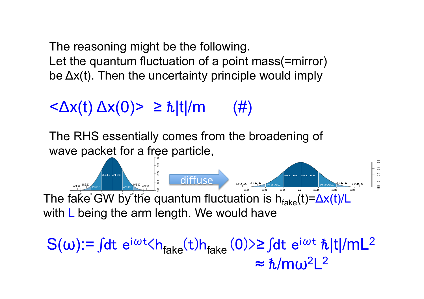The reasoning might be the following. Let the quantum fluctuation of a point mass(=mirror) be Δx(t). Then the uncertainty principle would imply

#### $\langle \Delta x(t) \Delta x(0) \rangle \geq \hbar |t|/m$  (#)

The RHS essentially comes from the broadening of wave packet for a free particle,

34.1% 34.1% RES AND 5 OIFFUSE The fake GW by the quantum fluctuation is  $h_{\text{fake}}(t) = \Delta x(t)/L$ with L being the arm length. We would have

 $S(\omega)$ :=  $\int dt e^{i\omega t} \langle h_{\text{fake}}(t)h_{\text{fake}}(0) \rangle$ ≥ $\int dt e^{i\omega t} \hbar |t|/mL^2$  $\approx \hbar/m\omega^2L^2$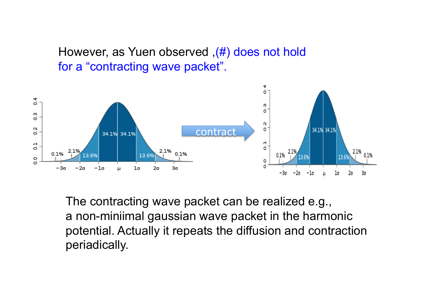However, as Yuen observed ,(#) does not hold for a "contracting wave packet".



The contracting wave packet can be realized e.g., a non-miniimal gaussian wave packet in the harmonic potential. Actually it repeats the diffusion and contraction periadically.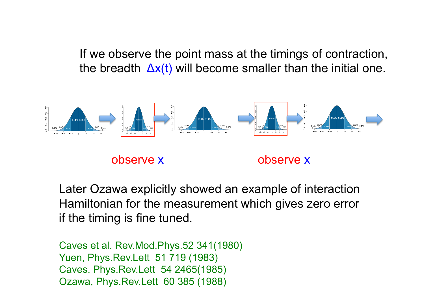If we observe the point mass at the timings of contraction, the breadth  $\Delta x(t)$  will become smaller than the initial one.



Later Ozawa explicitly showed an example of interaction Hamiltonian for the measurement which gives zero error if the timing is fine tuned.

Caves et al. Rev.Mod.Phys.52 341(1980) Yuen, Phys.Rev.Lett 51 719 (1983) Caves, Phys.Rev.Lett 54 2465(1985) Ozawa, Phys.Rev.Lett 60 385 (1988)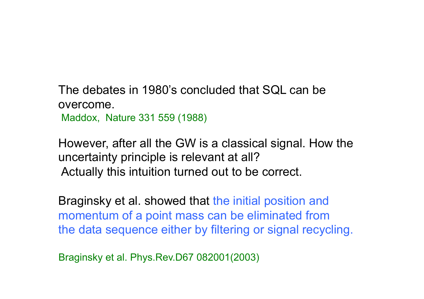The debates in 1980's concluded that SQL can be overcome. Maddox, Nature 331 559 (1988)

However, after all the GW is a classical signal. How the uncertainty principle is relevant at all? Actually this intuition turned out to be correct.

Braginsky et al. showed that the initial position and momentum of a point mass can be eliminated from the data sequence either by filtering or signal recycling.

Braginsky et al. Phys.Rev.D67 082001(2003)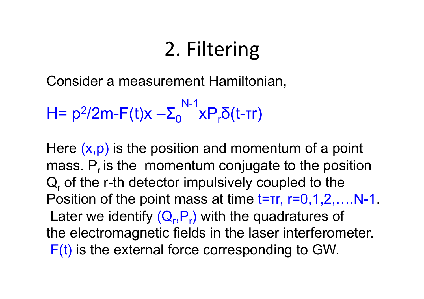# 2. Filtering

Consider a measurement Hamiltonian,

H=  $p^2/2m-F(t)x - \Sigma_0$ N-1 xΡ<sub>r</sub>δ(t-τr)

Here  $(x, p)$  is the position and momentum of a point mass.  $P<sub>r</sub>$  is the momentum conjugate to the position  $Q_r$  of the r-th detector impulsively coupled to the Position of the point mass at time  $t=rr$ ,  $r=0,1,2,...$ . N-1. Later we identify  $(Q_r, P_r)$  with the quadratures of the electromagnetic fields in the laser interferometer. F(t) is the external force corresponding to GW.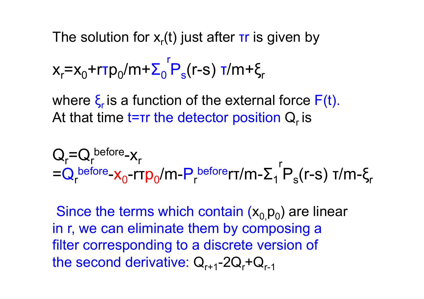The solution for  $x_r(t)$  just after  $\tau r$  is given by

$$
x_r = x_0 + r\tau p_0 / m + \sum_0^r P_s(r-s) \tau / m + \xi_r
$$

where  $\xi$  is a function of the external force  $F(t)$ . At that time  $t=rr$  the detector position  $Q_r$  is

$$
Q_r = Q_r^{\text{before}} - x_r
$$
  
= Q\_r^{\text{before}} - x\_0 - rrp\_0/m - P\_r^{\text{before}} - r/m - \sum\_{1}^{r} P\_s(r-s) \tau/m - \xi\_r

Since the terms which contain  $(x_0, p_0)$  are linear in r, we can eliminate them by composing a filter corresponding to a discrete version of the second derivative:  $Q_{r+1}$ -2 $Q_r$ + $Q_{r-1}$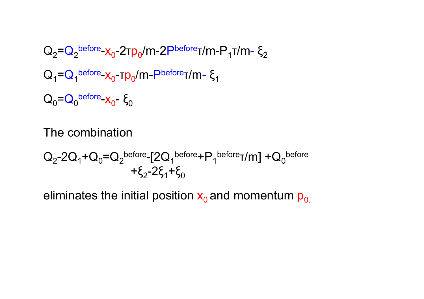$$
Q_2 = Q_2^{\text{before}} - x_0 - 2\tau p_0 / m - 2P^{\text{before}}\tau / m - P_1 \tau / m - \xi_2
$$
  
\n
$$
Q_1 = Q_1^{\text{before}} - x_0 - \tau p_0 / m - P^{\text{before}}\tau / m - \xi_1
$$
  
\n
$$
Q_0 = Q_0^{\text{before}} - x_0 - \xi_0
$$

The combination

$$
Q_2 - 2Q_1 + Q_0 = Q_2^{\text{before}} - [2Q_1^{\text{before}} + P_1^{\text{before}} + M] + Q_0^{\text{before}}
$$

$$
+ \xi_2 - 2\xi_1 + \xi_0
$$

eliminates the initial position  $x_0$  and momentum  $p_0$ .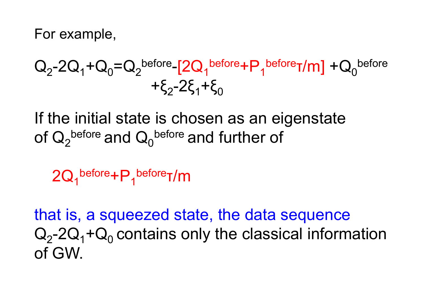For example,

$$
Q_2-2Q_1+Q_0=Q_2{}^{before-}[2Q_1{}^{before}+P_1{}^{before}T/m]+Q_0{}^{before} + \xi_2-2\xi_1+\xi_0
$$

If the initial state is chosen as an eigenstate of  $\mathsf{Q}_2^{\text{before}}$  and  $\mathsf{Q}_0^{\text{before}}$  and further of

 $2Q_1^{\text{before}} + P_1^{\text{before}}$ T/m

that is, a squeezed state, the data sequence  $Q_2$ -2 $Q_1$ + $Q_0$  contains only the classical information of GW.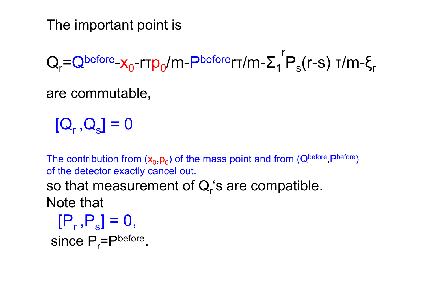The important point is

 $Q_r = Q^{before} - X_0$ -r $\tau p_0/m$ - $P^{before}$ rt/m- $\Sigma_1$ r  $P_s(r-s)$  τ/m-ξ<sub>r</sub>

are commutable,

 $[Q_r, Q_s] = 0$ 

The contribution from  $(x_0, p_0)$  of the mass point and from  $(Q^{\text{before}}, P^{\text{before}})$ of the detector exactly cancel out.

so that measurement of  $Q_r$ 's are compatible. Note that

 $[P_r, P_s] = 0$ , since P<sub>r</sub>=Pbefore.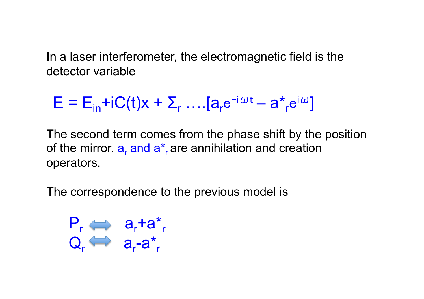In a laser interferometer, the electromagnetic field is the detector variable

$$
E = E_{in} + iC(t)x + \sum_{r} ... [a_{r}e^{-i\omega t} - a_{r}^{*}e^{i\omega}]
$$

The second term comes from the phase shift by the position of the mirror.  $a_r$  and  $a_r$  are annihilation and creation operators.

The correspondence to the previous model is

$$
P_r \iff a_r + a_r
$$

$$
Q_r \iff a_r - a_r
$$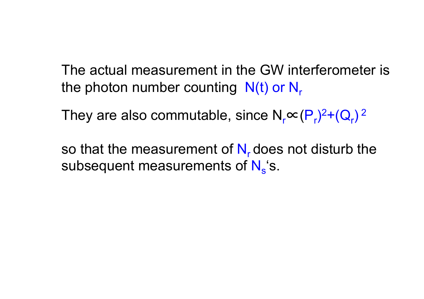The actual measurement in the GW interferometer is the photon number counting  $N(t)$  or  $N_r$ 

They are also commutable, since  $N_r$  $\propto$   $(P_r)^2 + (Q_r)^2$ 

so that the measurement of  $N<sub>r</sub>$  does not disturb the subsequent measurements of  $N_s$ 's.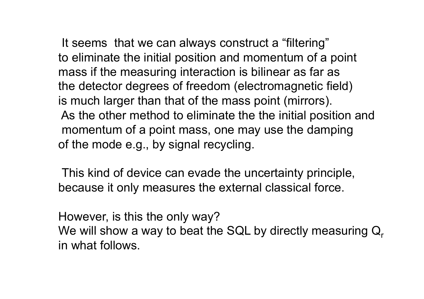It seems that we can always construct a "filtering" to eliminate the initial position and momentum of a point mass if the measuring interaction is bilinear as far as the detector degrees of freedom (electromagnetic field) is much larger than that of the mass point (mirrors). As the other method to eliminate the the initial position and momentum of a point mass, one may use the damping of the mode e.g., by signal recycling.

 This kind of device can evade the uncertainty principle, because it only measures the external classical force.

However, is this the only way? We will show a way to beat the SQL by directly measuring  $\mathsf{Q}_\mathsf{r}$ in what follows.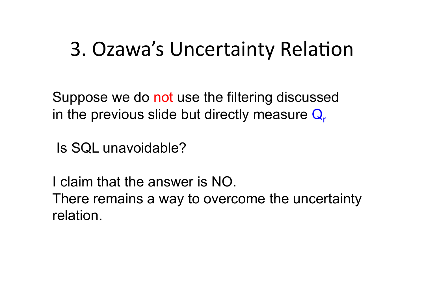## 3. Ozawa's Uncertainty Relation

Suppose we do not use the filtering discussed in the previous slide but directly measure  $Q<sub>r</sub>$ 

Is SQL unavoidable?

I claim that the answer is NO. There remains a way to overcome the uncertainty relation.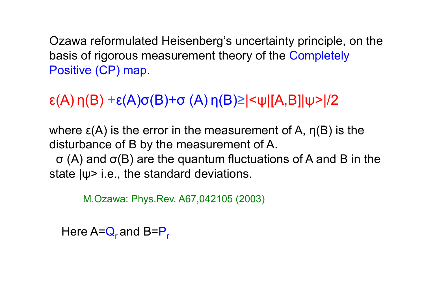Ozawa reformulated Heisenberg's uncertainty principle, on the basis of rigorous measurement theory of the Completely Positive (CP) map.

#### ε(A) η(B) +ε(A)σ(B)+σ (A) η(B)≥|<ψ|[A,B]|ψ>|/2

where  $\epsilon(A)$  is the error in the measurement of A,  $\eta(B)$  is the disturbance of B by the measurement of A.

 σ (A) and σ(B) are the quantum fluctuations of A and B in the state |ψ> i.e., the standard deviations.

M.Ozawa: Phys.Rev. A67,042105 (2003)

Here  $A = Q_r$  and  $B = P_r$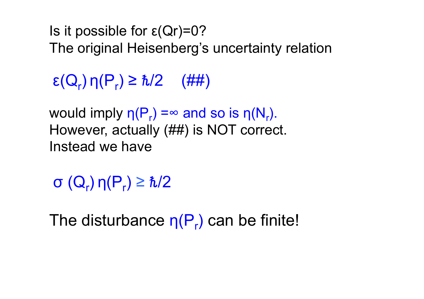Is it possible for  $\varepsilon(Qr)=0$ ? The original Heisenberg's uncertainty relation

 $\epsilon(Q_r) \eta(P_r) \geq \hbar/2$  (##)

would imply  $η(P<sub>r</sub>) = ∞$  and so is  $η(N<sub>r</sub>)$ . However, actually (##) is NOT correct. Instead we have

σ  $(Q_r)$ η $(P_r) \geq \hbar/2$ 

The disturbance  $\eta(P_r)$  can be finite!